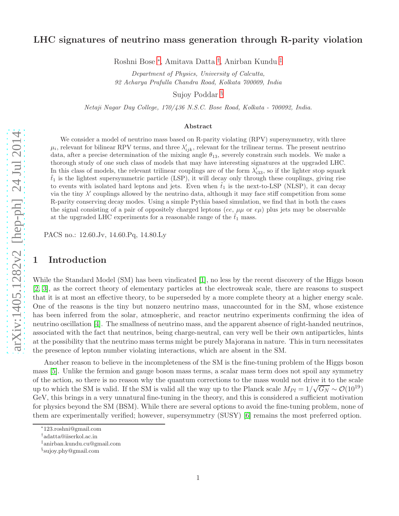### LHC signatures of neutrino mass generation through R-parity violation

Roshni Bose [∗](#page-0-0) , Amitava Datta [†](#page-0-1) , Anirban Kundu [‡](#page-0-2)

Department of Physics, University of Calcutta, 92 Acharya Prafulla Chandra Road, Kolkata 700009, India

Sujoy Poddar [§](#page-0-3)

Netaji Nagar Day College, 170/436 N.S.C. Bose Road, Kolkata - 700092, India.

#### Abstract

We consider a model of neutrino mass based on R-parity violating (RPV) supersymmetry, with three  $\mu_i$ , relevant for bilinear RPV terms, and three  $\lambda'_{ijk}$ , relevant for the trilinear terms. The present neutrino data, after a precise determination of the mixing angle  $\theta_{13}$ , severely constrain such models. We make a thorough study of one such class of models that may have interesting signatures at the upgraded LHC. In this class of models, the relevant trilinear couplings are of the form  $\lambda'_{33}$ , so if the lighter stop squark  $\tilde{t}_1$  is the lightest supersymmetric particle (LSP), it will decay only through these couplings, giving rise to events with isolated hard leptons and jets. Even when  $\tilde{t}_1$  is the next-to-LSP (NLSP), it can decay via the tiny  $\lambda'$  couplings allowed by the neutrino data, although it may face stiff competition from some R-parity conserving decay modes. Using a simple Pythia based simulation, we find that in both the cases the signal consisting of a pair of oppositely charged leptons (ee,  $\mu\mu$  or  $e\mu$ ) plus jets may be observable at the upgraded LHC experiments for a reasonable range of the  $\tilde{t}_1$  mass.

PACS no.: 12.60.Jv, 14.60.Pq, 14.80.Ly

# 1 Introduction

While the Standard Model (SM) has been vindicated [\[1\]](#page-15-0), no less by the recent discovery of the Higgs boson [\[2,](#page-15-1) [3\]](#page-15-2), as the correct theory of elementary particles at the electroweak scale, there are reasons to suspect that it is at most an effective theory, to be superseded by a more complete theory at a higher energy scale. One of the reasons is the tiny but nonzero neutrino mass, unaccounted for in the SM, whose existence has been inferred from the solar, atmospheric, and reactor neutrino experiments confirming the idea of neutrino oscillation [\[4\]](#page-15-3). The smallness of neutrino mass, and the apparent absence of right-handed neutrinos, associated with the fact that neutrinos, being charge-neutral, can very well be their own antiparticles, hints at the possibility that the neutrino mass terms might be purely Majorana in nature. This in turn necessitates the presence of lepton number violating interactions, which are absent in the SM.

Another reason to believe in the incompleteness of the SM is the fine-tuning problem of the Higgs boson mass [\[5\]](#page-15-4). Unlike the fermion and gauge boson mass terms, a scalar mass term does not spoil any symmetry of the action, so there is no reason why the quantum corrections to the mass would not drive it to the scale up to which the SM is valid. If the SM is valid all the way up to the Planck scale  $M_{Pl} = 1/\sqrt{G_N} \sim \mathcal{O}(10^{19})$ GeV, this brings in a very unnatural fine-tuning in the theory, and this is considered a sufficient motivation for physics beyond the SM (BSM). While there are several options to avoid the fine-tuning problem, none of them are experimentally verified; however, supersymmetry (SUSY) [\[6\]](#page-15-5) remains the most preferred option.

<sup>∗</sup> 123.roshni@gmail.com

<span id="page-0-0"></span><sup>†</sup> adatta@iiserkol.ac.in

<span id="page-0-1"></span><sup>‡</sup> anirban.kundu.cu@gmail.com

<span id="page-0-3"></span><span id="page-0-2"></span><sup>§</sup> sujoy.phy@gmail.com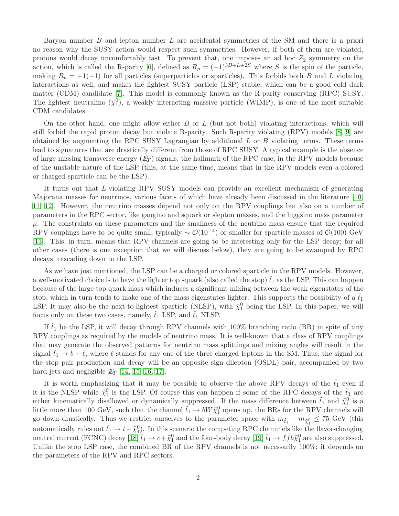Baryon number B and lepton number L are accidental symmetries of the SM and there is a priori no reason why the SUSY action would respect such symmetries. However, if both of them are violated, protons would decay uncomfortably fast. To prevent that, one imposes an ad hoc  $Z_2$  symmetry on the action, which is called the R-parity [\[6\]](#page-15-5), defined as  $R_p = (-1)^{3B+L+2S}$  where S is the spin of the particle, making  $R_p = +1(-1)$  for all particles (superparticles or sparticles). This forbids both B and L violating interactions as well, and makes the lightest SUSY particle (LSP) stable, which can be a good cold dark matter (CDM) candidate [\[7\]](#page-15-6). This model is commonly known as the R-parity conserving (RPC) SUSY. The lightest neutralino  $({\tilde \chi_1^0})$ , a weakly interacting massive particle (WIMP), is one of the most suitable CDM candidates.

On the other hand, one might allow either  $B$  or  $L$  (but not both) violating interactions, which will still forbid the rapid proton decay but violate R-parity. Such R-parity violating (RPV) models [\[8,](#page-15-7) [9\]](#page-15-8) are obtained by augmenting the RPC SUSY Lagrangian by additional L or B violating terms. These terms lead to signatures that are drastically different from those of RPC SUSY. A typical example is the absence of large missing transverse energy  $(E_T)$  signals, the hallmark of the RPC case, in the RPV models because of the unstable nature of the LSP (this, at the same time, means that in the RPV models even a colored or charged sparticle can be the LSP).

It turns out that L-violating RPV SUSY models can provide an excellent mechanism of generating Majorana masses for neutrinos, various facets of which have already been discussed in the literature [\[10,](#page-15-9) [11,](#page-15-10) [12\]](#page-16-0). However, the neutrino masses depend not only on the RPV couplings but also on a number of parameters in the RPC sector, like gaugino and squark or slepton masses, and the higgsino mass parameter  $\mu$ . The constraints on these parameters and the smallness of the neutrino mass ensure that the required RPV couplings have to be quite small, typically  $\sim \mathcal{O}(10^{-4})$  or smaller for sparticle masses of  $\mathcal{O}(100)$  GeV [\[13\]](#page-16-1). This, in turn, means that RPV channels are going to be interesting only for the LSP decay; for all other cases (there is one exception that we will discuss below), they are going to be swamped by RPC decays, cascading down to the LSP.

As we have just mentioned, the LSP can be a charged or colored sparticle in the RPV models. However, a well-motivated choice is to have the lighter top squark (also called the stop)  $\tilde{t}_1$  as the LSP. This can happen because of the large top quark mass which induces a significant mixing between the weak eigenstates of the stop, which in turn tends to make one of the mass eigenstates lighter. This supports the possibility of a  $t_1$ LSP. It may also be the next-to-lightest sparticle (NLSP), with  $\tilde{\chi}_1^0$  being the LSP. In this paper, we will focus only on these two cases, namely,  $\tilde{t}_1$  LSP, and  $\tilde{t}_1$  NLSP.

If  $t_1$  be the LSP, it will decay through RPV channels with 100% branching ratio (BR) in spite of tiny RPV couplings as required by the models of neutrino mass. It is well-known that a class of RPV couplings that may generate the observed patterns for neutrino mass splittings and mixing angles will result in the signal  $t_1 \to b + \ell$ , where  $\ell$  stands for any one of the three charged leptons in the SM. Thus, the signal for the stop pair production and decay will be an opposite sign dilepton (OSDL) pair, accompanied by two hard jets and negligible  $E_T$  [\[14,](#page-16-2) [15,](#page-16-3) [16,](#page-16-4) [17\]](#page-16-5).

It is worth emphasizing that it may be possible to observe the above RPV decays of the  $\tilde{t}_1$  even if it is the NLSP while  $\tilde{\chi}_1^0$  is the LSP. Of course this can happen if some of the RPC decays of the  $\tilde{t}_1$  are either kinematically disallowed or dynamically suppressed. If the mass difference between  $\tilde{t}_1$  and  $\tilde{\chi}_1^0$  is a little more than 100 GeV, such that the channel  $\tilde{t}_1 \to bW \tilde{\chi}_1^0$  opens up, the BRs for the RPV channels will go down drastically. Thus we restrict ourselves to the parameter space with  $m_{\tilde{t}_1} - m_{\tilde{\chi}_1^0} \leq 75$  GeV (this automatically rules out  $\tilde{t}_1 \to t + \tilde{\chi}_1^0$ . In this scenario the competing RPC channnels like the flavor-changing neutral current (FCNC) decay  $[18]\tilde{t}_1 \to c + \tilde{\chi}_1^0$  and the four-body decay  $[19]\tilde{t}_1 \to f\bar{f}b\tilde{\chi}_1^0$  are also suppressed. Unlike the stop LSP case, the combined BR of the RPV channels is not necessarily 100%; it depends on the parameters of the RPV and RPC sectors.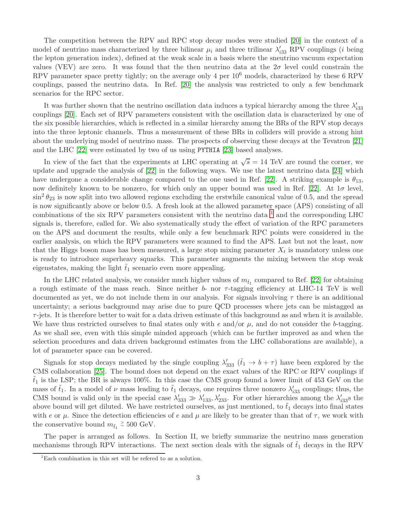The competition between the RPV and RPC stop decay modes were studied [\[20\]](#page-16-8) in the context of a model of neutrino mass characterized by three bilinear  $\mu_i$  and three trilinear  $\lambda'_{i33}$  RPV couplings (*i* being the lepton generation index), defined at the weak scale in a basis where the sneutrino vacuum expectation values (VEV) are zero. It was found that the then neutrino data at the  $2\sigma$  level could constrain the RPV parameter space pretty tightly; on the average only 4 per 10<sup>6</sup> models, characterized by these 6 RPV couplings, passed the neutrino data. In Ref. [\[20\]](#page-16-8) the analysis was restricted to only a few benchmark scenarios for the RPC sector.

It was further shown that the neutrino oscillation data induces a typical hierarchy among the three  $\lambda'_{i33}$ couplings [\[20\]](#page-16-8). Each set of RPV parameters consistent with the oscillation data is characterized by one of the six possible hierarchies, which is reflected in a similar hierarchy among the BRs of the RPV stop decays into the three leptonic channels. Thus a measurement of these BRs in colliders will provide a strong hint about the underlying model of neutrino mass. The prospects of observing these decays at the Tevatron [\[21\]](#page-16-9) and the LHC [\[22\]](#page-16-10) were estimated by two of us using PYTHIA [\[23\]](#page-16-11) based analyses.

In view of the fact that the experiments at LHC operating at  $\sqrt{s} = 14$  TeV are round the corner, we update and upgrade the analysis of [\[22\]](#page-16-10) in the following ways. We use the latest neutrino data [\[24\]](#page-16-12) which have undergone a considerable change compared to the one used in Ref. [\[22\]](#page-16-10). A striking example is  $\theta_{13}$ , now definitely known to be nonzero, for which only an upper bound was used in Ref. [\[22\]](#page-16-10). At  $1\sigma$  level,  $\sin^2\theta_{23}$  is now split into two allowed regions excluding the erstwhile canonical value of 0.5, and the spread is now significantly above or below 0.5. A fresh look at the allowed parameter space (APS) consisting of all combinations of the six RPV parameters consistent with the neutrino data  $^1$  $^1$  and the corresponding LHC signals is, therefore, called for. We also systematically study the effect of variation of the RPC parameters on the APS and document the results, while only a few benchmark RPC points were considered in the earlier analysis, on which the RPV parameters were scanned to find the APS. Last but not the least, now that the Higgs boson mass has been measured, a large stop mixing parameter  $X_t$  is mandatory unless one is ready to introduce superheavy squarks. This parameter augments the mixing between the stop weak eigenstates, making the light  $t_1$  scenario even more appealing.

In the LHC related analysis, we consider much higher values of  $m_{\tilde{t}_1}$  compared to Ref. [\[22\]](#page-16-10) for obtaining a rough estimate of the mass reach. Since neither b- nor  $\tau$ -tagging efficiency at LHC-14 TeV is well documented as yet, we do not include them in our analysis. For signals involving  $\tau$  there is an additional uncertainty; a serious background may arise due to pure QCD processes where jets can be mistagged as  $\tau$ -jets. It is therefore better to wait for a data driven estimate of this background as and when it is available. We have thus restricted ourselves to final states only with  $e$  and/or  $\mu$ , and do not consider the b-tagging. As we shall see, even with this simple minded approach (which can be further improved as and when the selection procedures and data driven background estimates from the LHC collaborations are available), a lot of parameter space can be covered.

Signals for stop decays mediated by the single coupling  $\lambda'_{333}$   $(\tilde{t}_1 \to b + \tau)$  have been explored by the CMS collaboration [\[25\]](#page-16-13). The bound does not depend on the exact values of the RPC or RPV couplings if  $t_1$  is the LSP; the BR is always 100%. In this case the CMS group found a lower limit of 453 GeV on the mass of  $\tilde{t}_1$ . In a model of  $\nu$  mass leading to  $\tilde{t}_1$  decays, one requires three nonzero  $\lambda'_{33}$  couplings; thus, the CMS bound is valid only in the special case  $\lambda'_{333} \gg \lambda'_{133}$ ,  $\lambda'_{233}$ . For other hierarchies among the  $\lambda'_{i33}$ s the above bound will get diluted. We have restricted ourselves, as just mentioned, to  $t_1$  decays into final states with e or  $\mu$ . Since the detection efficiencies of e and  $\mu$  are likely to be greater than that of  $\tau$ , we work with the conservative bound  $m_{\tilde{t}_1} \stackrel{>}{\sim} 500$  GeV.

The paper is arranged as follows. In Section II, we briefly summarize the neutrino mass generation mechanisms through RPV interactions. The next section deals with the signals of  $t_1$  decays in the RPV

<span id="page-2-0"></span> ${}^{1}$ Each combination in this set will be refered to as a solution.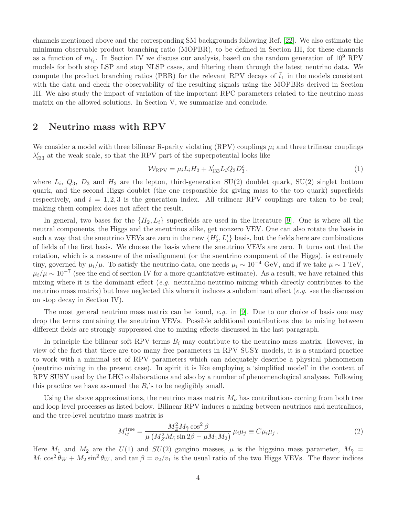channels mentioned above and the corresponding SM backgrounds following Ref. [\[22\]](#page-16-10). We also estimate the minimum observable product branching ratio (MOPBR), to be defined in Section III, for these channels as a function of  $m_{\tilde{t}_1}$ . In Section IV we discuss our analysis, based on the random generation of  $10^9$  RPV models for both stop LSP and stop NLSP cases, and filtering them through the latest neutrino data. We compute the product branching ratios (PBR) for the relevant RPV decays of  $t_1$  in the models consistent with the data and check the observability of the resulting signals using the MOPBRs derived in Section III. We also study the impact of variation of the important RPC parameters related to the neutrino mass matrix on the allowed solutions. In Section V, we summarize and conclude.

# 2 Neutrino mass with RPV

We consider a model with three bilinear R-parity violating (RPV) couplings  $\mu_i$  and three trilinear couplings  $\lambda'_{i33}$  at the weak scale, so that the RPV part of the superpotential looks like

$$
\mathcal{W}_{\rm RPV} = \mu_i L_i H_2 + \lambda'_{i33} L_i Q_3 D_3^c, \qquad (1)
$$

where  $L_i$ ,  $Q_3$ ,  $D_3$  and  $H_2$  are the lepton, third-generation SU(2) doublet quark, SU(2) singlet bottom quark, and the second Higgs doublet (the one responsible for giving mass to the top quark) superfields respectively, and  $i = 1, 2, 3$  is the generation index. All trilinear RPV couplings are taken to be real; making them complex does not affect the result.

In general, two bases for the  $\{H_2, L_i\}$  superfields are used in the literature [\[9\]](#page-15-8). One is where all the neutral components, the Higgs and the sneutrinos alike, get nonzero VEV. One can also rotate the basis in such a way that the sneutrino VEVs are zero in the new  $\{H'_2, L'_i\}$  basis, but the fields here are combinations of fields of the first basis. We choose the basis where the sneutrino VEVs are zero. It turns out that the rotation, which is a measure of the misalignment (or the sneutrino component of the Higgs), is extremely tiny, governed by  $\mu_i/\mu$ . To satisfy the neutrino data, one needs  $\mu_i \sim 10^{-4}$  GeV, and if we take  $\mu \sim 1$  TeV,  $\mu_i/\mu \sim 10^{-7}$  (see the end of section IV for a more quantitative estimate). As a result, we have retained this mixing where it is the dominant effect  $(e.g.$  neutralino-neutrino mixing which directly contributes to the neutrino mass matrix) but have neglected this where it induces a subdominant effect  $(e.g.$  see the discussion on stop decay in Section IV).

The most general neutrino mass matrix can be found, e.g. in [\[9\]](#page-15-8). Due to our choice of basis one may drop the terms containing the sneutrino VEVs. Possible additional contributions due to mixing between different fields are strongly suppressed due to mixing effects discussed in the last paragraph.

In principle the bilinear soft RPV terms  $B_i$  may contribute to the neutrino mass matrix. However, in view of the fact that there are too many free parameters in RPV SUSY models, it is a standard practice to work with a minimal set of RPV parameters which can adequately describe a physical phenomenon (neutrino mixing in the present case). In spirit it is like employing a 'simplified model' in the context of RPV SUSY used by the LHC collaborations and also by a number of phenomenological analyses. Following this practice we have assumed the  $B_i$ 's to be negligibly small.

Using the above approximations, the neutrino mass matrix  $M_{\nu}$  has contributions coming from both tree and loop level processes as listed below. Bilinear RPV induces a mixing between neutrinos and neutralinos, and the tree-level neutrino mass matrix is

<span id="page-3-0"></span>
$$
M_{ij}^{\text{tree}} = \frac{M_Z^2 M_{\tilde{\gamma}} \cos^2 \beta}{\mu \left( M_Z^2 M_{\tilde{\gamma}} \sin 2\beta - \mu M_1 M_2 \right)} \mu_i \mu_j \equiv C \mu_i \mu_j \,. \tag{2}
$$

Here  $M_1$  and  $M_2$  are the  $U(1)$  and  $SU(2)$  gaugino masses,  $\mu$  is the higgsino mass parameter,  $M_{\tilde{\gamma}} =$  $M_1 \cos^2 \theta_W + M_2 \sin^2 \theta_W$ , and  $\tan \beta = v_2/v_1$  is the usual ratio of the two Higgs VEVs. The flavor indices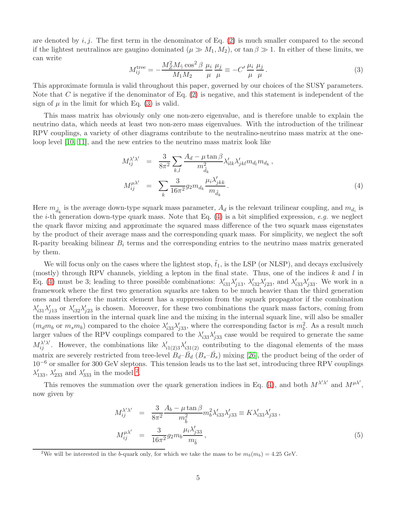are denoted by  $i, j$ . The first term in the denominator of Eq. [\(2\)](#page-3-0) is much smaller compared to the second if the lightest neutralinos are gaugino dominated  $(\mu \gg M_1, M_2)$ , or tan  $\beta \gg 1$ . In either of these limits, we can write

<span id="page-4-0"></span>
$$
M_{ij}^{\text{tree}} = -\frac{M_Z^2 M_{\tilde{\gamma}} \cos^2 \beta}{M_1 M_2} \frac{\mu_i}{\mu} \frac{\mu_j}{\mu} \equiv -C' \frac{\mu_i}{\mu} \frac{\mu_j}{\mu}.
$$
 (3)

This approximate formula is valid throughout this paper, governed by our choices of the SUSY parameters. Note that C is negative if the denominator of Eq.  $(2)$  is negative, and this statement is independent of the sign of  $\mu$  in the limit for which Eq. [\(3\)](#page-4-0) is valid.

This mass matrix has obviously only one non-zero eigenvalue, and is therefore unable to explain the neutrino data, which needs at least two non-zero mass eigenvalues. With the introduction of the trilinear RPV couplings, a variety of other diagrams contribute to the neutralino-neutrino mass matrix at the oneloop level [\[10,](#page-15-9) [11\]](#page-15-10), and the new entries to the neutrino mass matrix look like

<span id="page-4-1"></span>
$$
M_{ij}^{\lambda'\lambda'} = \frac{3}{8\pi^2} \sum_{k,l} \frac{A_d - \mu \tan \beta}{m_{\tilde{d}_k}^2} \lambda'_{ilk} \lambda'_{jkl} m_{d_l} m_{d_k},
$$
  

$$
M_{ij}^{\mu\lambda'} = \sum_k \frac{3}{16\pi^2} g_2 m_{d_k} \frac{\mu_i \lambda'_{jkk}}{m_{\tilde{d}_k}}.
$$
 (4)

Here  $m_{\tilde{d}_k}$  is the average down-type squark mass parameter,  $A_d$  is the relevant trilinear coupling, and  $m_{d_i}$  is the *i*-th generation down-type quark mass. Note that Eq.  $(4)$  is a bit simplified expression, *e.g.* we neglect the quark flavor mixing and approximate the squared mass difference of the two squark mass eigenstates by the product of their average mass and the corresponding quark mass. For simplicity, we neglect the soft R-parity breaking bilinear  $B_i$  terms and the corresponding entries to the neutrino mass matrix generated by them.

We will focus only on the cases where the lightest stop,  $\tilde{t}_1$ , is the LSP (or NLSP), and decays exclusively (mostly) through RPV channels, yielding a lepton in the final state. Thus, one of the indices  $k$  and  $l$  in Eq. [\(4\)](#page-4-1) must be 3; leading to three possible combinations:  $\lambda'_{i31}\lambda'_{j13}$ ,  $\lambda'_{i32}\lambda'_{j23}$ , and  $\lambda'_{i33}\lambda'_{j33}$ . We work in a framework where the first two generation squarks are taken to be much heavier than the third generation ones and therefore the matrix element has a suppression from the squark propagator if the combination  $\lambda'_{i31}\lambda'_{j13}$  or  $\lambda'_{i32}\lambda'_{j23}$  is chosen. Moreover, for these two combinations the quark mass factors, coming from the mass insertion in the internal quark line and the mixing in the internal squark line, will also be smaller  $(m_d m_b \text{ or } m_s m_b)$  compared to the choice  $\lambda'_{33} \lambda'_{j33}$ , where the corresponding factor is  $m_b^2$ . As a result much larger values of the RPV couplings compared to the  $\lambda'_{33}\lambda'_{j33}$  case would be required to generate the same  $M_{ij}^{\lambda'\lambda'}$ . However, the combinations like  $\lambda'_{i1(2)3}\lambda'_{i31(2)}$  contributing to the diagonal elements of the mass matrix are severely restricted from tree-level  $B_d-\bar{B_d}$   $(B_s-\bar{B_s})$  mixing [\[26\]](#page-16-14), the product being of the order of 10−<sup>6</sup> or smaller for 300 GeV sleptons. This tension leads us to the last set, introducing three RPV couplings  $\lambda'_{133}$ ,  $\lambda'_{233}$  $\lambda'_{233}$  $\lambda'_{233}$  and  $\lambda'_{333}$  in the model <sup>2</sup>.

This removes the summation over the quark generation indices in Eq. [\(4\)](#page-4-1), and both  $M^{\lambda'\lambda'}$  and  $M^{\mu\lambda'}$ , now given by

<span id="page-4-3"></span>
$$
M_{ij}^{\lambda'\lambda'} = \frac{3}{8\pi^2} \frac{A_b - \mu \tan \beta}{m_{\tilde{b}}^2} m_b^2 \lambda'_{i33} \lambda'_{j33} \equiv K \lambda'_{i33} \lambda'_{j33},
$$
  

$$
M_{ij}^{\mu\lambda'} = \frac{3}{16\pi^2} g_2 m_b \frac{\mu_i \lambda'_{j33}}{m_{\tilde{b}}},
$$
 (5)

<span id="page-4-2"></span><sup>&</sup>lt;sup>2</sup>We will be interested in the b-quark only, for which we take the mass to be  $m_b(m_b) = 4.25$  GeV.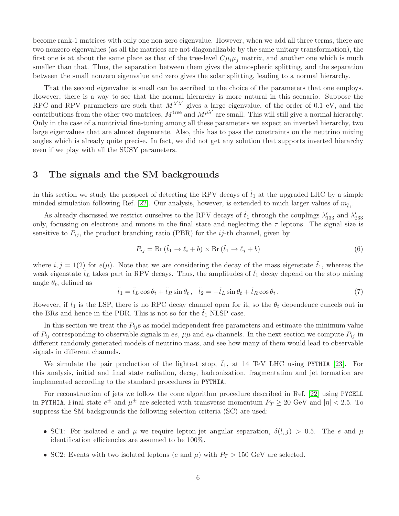become rank-1 matrices with only one non-zero eigenvalue. However, when we add all three terms, there are two nonzero eigenvalues (as all the matrices are not diagonalizable by the same unitary transformation), the first one is at about the same place as that of the tree-level  $C\mu_i\mu_j$  matrix, and another one which is much smaller than that. Thus, the separation between them gives the atmospheric splitting, and the separation between the small nonzero eigenvalue and zero gives the solar splitting, leading to a normal hierarchy.

That the second eigenvalue is small can be ascribed to the choice of the parameters that one employs. However, there is a way to see that the normal hierarchy is more natural in this scenario. Suppose the RPC and RPV parameters are such that  $M^{\lambda'\lambda'}$  gives a large eigenvalue, of the order of 0.1 eV, and the contributions from the other two matrices,  $M^{\text{tree}}$  and  $M^{\mu\lambda'}$  are small. This will still give a normal hierarchy. Only in the case of a nontrivial fine-tuning among all these parameters we expect an inverted hierarchy, two large eigenvalues that are almost degenerate. Also, this has to pass the constraints on the neutrino mixing angles which is already quite precise. In fact, we did not get any solution that supports inverted hierarchy even if we play with all the SUSY parameters.

### 3 The signals and the SM backgrounds

In this section we study the prospect of detecting the RPV decays of  $\tilde{t}_1$  at the upgraded LHC by a simple minded simulation following Ref. [\[22\]](#page-16-10). Our analysis, however, is extended to much larger values of  $m_{\tilde{t}_1}$ .

As already discussed we restrict ourselves to the RPV decays of  $\tilde{t}_1$  through the couplings  $\lambda'_{133}$  and  $\lambda'_{233}$ only, focussing on electrons and muons in the final state and neglecting the  $\tau$  leptons. The signal size is sensitive to  $P_{ij}$ , the product branching ratio (PBR) for the *ij*-th channel, given by

<span id="page-5-0"></span>
$$
P_{ij} = \text{Br}(\tilde{t}_1 \to \ell_i + b) \times \text{Br}(\tilde{t}_1 \to \ell_j + b)
$$
\n<sup>(6)</sup>

where  $i, j = 1(2)$  for  $e(\mu)$ . Note that we are considering the decay of the mass eigenstate  $\tilde{t}_1$ , whereas the weak eigenstate  $\tilde{t}_L$  takes part in RPV decays. Thus, the amplitudes of  $\tilde{t}_1$  decay depend on the stop mixing angle  $\theta_t$ , defined as

<span id="page-5-1"></span>
$$
\tilde{t}_1 = \tilde{t}_L \cos \theta_t + \tilde{t}_R \sin \theta_t, \quad \tilde{t}_2 = -\tilde{t}_L \sin \theta_t + \tilde{t}_R \cos \theta_t. \tag{7}
$$

However, if  $\tilde{t}_1$  is the LSP, there is no RPC decay channel open for it, so the  $\theta_t$  dependence cancels out in the BRs and hence in the PBR. This is not so for the  $\tilde{t}_1$  NLSP case.

In this section we treat the  $P_{ij}$ s as model independent free parameters and estimate the minimum value of  $P_{ij}$  corresponding to observable signals in ee,  $\mu\mu$  and e $\mu$  channels. In the next section we compute  $P_{ij}$  in different randomly generated models of neutrino mass, and see how many of them would lead to observable signals in different channels.

We simulate the pair production of the lightest stop,  $\tilde{t}_1$ , at 14 TeV LHC using PYTHIA [\[23\]](#page-16-11). For this analysis, initial and final state radiation, decay, hadronization, fragmentation and jet formation are implemented according to the standard procedures in PYTHIA.

For reconstruction of jets we follow the cone algorithm procedure described in Ref. [\[22\]](#page-16-10) using PYCELL in PYTHIA. Final state  $e^{\pm}$  and  $\mu^{\pm}$  are selected with transverse momentum  $P_T \ge 20$  GeV and  $|\eta| < 2.5$ . To suppress the SM backgrounds the following selection criteria (SC) are used:

- SC1: For isolated e and  $\mu$  we require lepton-jet angular separation,  $\delta(l,j) > 0.5$ . The e and  $\mu$ identification efficiencies are assumed to be 100%.
- SC2: Events with two isolated leptons (e and  $\mu$ ) with  $P_T > 150$  GeV are selected.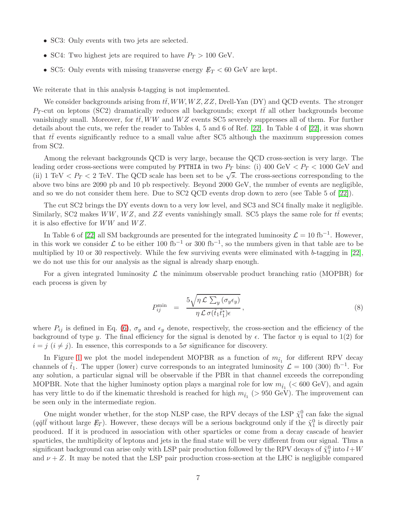- SC3: Only events with two jets are selected.
- SC4: Two highest jets are required to have  $P_T > 100$  GeV.
- SC5: Only events with missing transverse energy  $E_T < 60$  GeV are kept.

We reiterate that in this analysis b-tagging is not implemented.

We consider backgrounds arising from  $t\bar{t}$ , WW, WZ, ZZ, Drell-Yan (DY) and QCD events. The stronger  $P_T$ -cut on leptons (SC2) dramatically reduces all backgrounds; except  $t\bar{t}$  all other backgrounds become vanishingly small. Moreover, for  $t\bar{t}$ , WW and WZ events SC5 severely suppresses all of them. For further details about the cuts, we refer the reader to Tables 4, 5 and 6 of Ref. [\[22\]](#page-16-10). In Table 4 of [\[22\]](#page-16-10), it was shown that  $t\bar{t}$  events significantly reduce to a small value after SC5 although the maximum suppression comes from SC2.

Among the relevant backgrounds QCD is very large, because the QCD cross-section is very large. The leading order cross-sections were computed by PYTHIA in two  $P_T$  bins: (i) 400 GeV  $\langle P_T \rangle$  1000 GeV and (ii) 1 TeV  $\langle P_T \rangle$  = 2 TeV. The QCD scale has been set to be  $\sqrt{s}$ . The cross-sections corresponding to the above two bins are 2090 pb and 10 pb respectively. Beyond 2000 GeV, the number of events are negligible, and so we do not consider them here. Due to SC2 QCD events drop down to zero (see Table 5 of [\[22\]](#page-16-10)).

The cut SC2 brings the DY events down to a very low level, and SC3 and SC4 finally make it negligible. Similarly, SC2 makes WW, WZ, and ZZ events vanishingly small. SC5 plays the same role for  $t\bar{t}$  events; it is also effective for  $WW$  and  $WZ$ .

In Table 6 of [\[22\]](#page-16-10) all SM backgrounds are presented for the integrated luminosity  $\mathcal{L} = 10 \text{ fb}^{-1}$ . However, in this work we consider  $\mathcal L$  to be either 100 fb<sup>-1</sup> or 300 fb<sup>-1</sup>, so the numbers given in that table are to be multiplied by 10 or 30 respectively. While the few surviving events were eliminated with b-tagging in  $[22]$ , we do not use this for our analysis as the signal is already sharp enough.

For a given integrated luminosity  $\mathcal L$  the minimum observable product branching ratio (MOPBR) for each process is given by

$$
P_{ij}^{\min} = \frac{5\sqrt{\eta \mathcal{L} \sum_{y} (\sigma_y \epsilon_y)}}{\eta \mathcal{L} \sigma(\tilde{t}_1 \tilde{t}_1^*) \epsilon}, \qquad (8)
$$

where  $P_{ij}$  is defined in Eq. [\(6\)](#page-5-0),  $\sigma_y$  and  $\epsilon_y$  denote, respectively, the cross-section and the efficiency of the background of type y. The final efficiency for the signal is denoted by  $\epsilon$ . The factor  $\eta$  is equal to 1(2) for  $i = j$   $(i \neq j)$ . In essence, this corresponds to a  $5\sigma$  significance for discovery.

In Figure [1](#page-7-0) we plot the model independent MOPBR as a function of  $m_{\tilde{t}_1}$  for different RPV decay channels of  $\tilde{t}_1$ . The upper (lower) curve corresponds to an integrated luminosity  $\mathcal{L} = 100$  (300) fb<sup>-1</sup>. For any solution, a particular signal will be observable if the PBR in that channel exceeds the correponding MOPBR. Note that the higher luminosty option plays a marginal role for low  $m_{\tilde{t}_1}$  (< 600 GeV), and again has very little to do if the kinematic threshold is reached for high  $m_{\tilde{t}_1}$  (> 950 GeV). The improvement can be seen only in the intermediate region.

One might wonder whether, for the stop NLSP case, the RPV decays of the LSP  $\tilde{\chi}_1^0$  can fake the signal  $(q\bar{q}l\bar{l}$  without large  $E_T$ ). However, these decays will be a serious background only if the  $\tilde{\chi}_1^0$  is directly pair produced. If it is produced in association with other sparticles or come from a decay cascade of heavier sparticles, the multiplicity of leptons and jets in the final state will be very different from our signal. Thus a significant background can arise only with LSP pair production followed by the RPV decays of  $\tilde{\chi}_1^0$  into  $l+W$ and  $\nu + Z$ . It may be noted that the LSP pair production cross-section at the LHC is negligible compared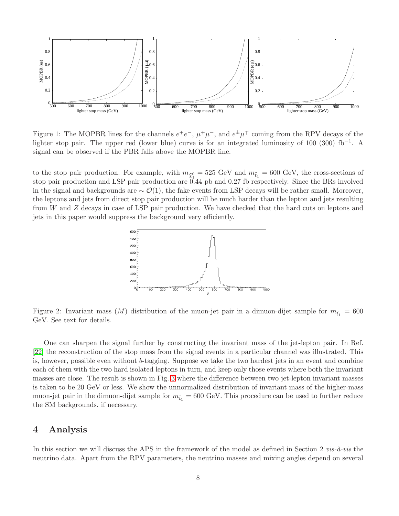

<span id="page-7-0"></span>Figure 1: The MOPBR lines for the channels  $e^+e^-$ ,  $\mu^+\mu^-$ , and  $e^{\pm}\mu^{\mp}$  coming from the RPV decays of the lighter stop pair. The upper red (lower blue) curve is for an integrated luminosity of 100 (300) fb<sup>-1</sup>. A signal can be observed if the PBR falls above the MOPBR line.

to the stop pair production. For example, with  $m_{\tilde{\chi}^0_1} = 525 \text{ GeV}$  and  $m_{\tilde{t}_1} = 600 \text{ GeV}$ , the cross-sections of stop pair production and LSP pair production are 0.44 pb and 0.27 fb respectively. Since the BRs involved in the signal and backgrounds are  $\sim \mathcal{O}(1)$ , the fake events from LSP decays will be rather small. Moreover, the leptons and jets from direct stop pair production will be much harder than the lepton and jets resulting from W and Z decays in case of LSP pair production. We have checked that the hard cuts on leptons and jets in this paper would suppress the background very efficiently.



<span id="page-7-1"></span>Figure 2: Invariant mass  $(M)$  distribution of the muon-jet pair in a dimuon-dijet sample for  $m_{\tilde{t}_1} = 600$ GeV. See text for details.

One can sharpen the signal further by constructing the invariant mass of the jet-lepton pair. In Ref. [\[22\]](#page-16-10) the reconstruction of the stop mass from the signal events in a particular channel was illustrated. This is, however, possible even without b-tagging. Suppose we take the two hardest jets in an event and combine each of them with the two hard isolated leptons in turn, and keep only those events where both the invariant masses are close. The result is shown in Fig. [3](#page-7-1) where the difference between two jet-lepton invariant masses is taken to be 20 GeV or less. We show the unnormalized distribution of invariant mass of the higher-mass muon-jet pair in the dimuon-dijet sample for  $m_{\tilde{t}_1} = 600$  GeV. This procedure can be used to further reduce the SM backgrounds, if necessary.

### 4 Analysis

In this section we will discuss the APS in the framework of the model as defined in Section 2 vis- $\dot{a}$ -vis the neutrino data. Apart from the RPV parameters, the neutrino masses and mixing angles depend on several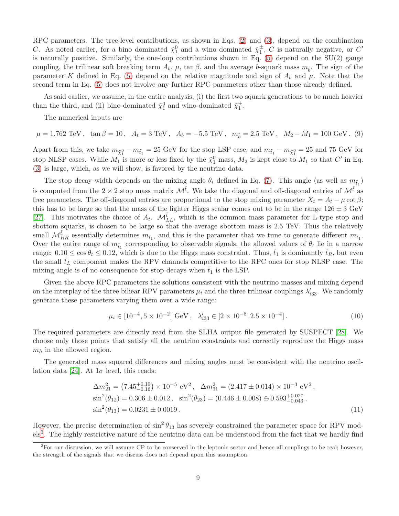RPC parameters. The tree-level contributions, as shown in Eqs. [\(2\)](#page-3-0) and [\(3\)](#page-4-0), depend on the combination C. As noted earlier, for a bino dominated  $\tilde{\chi}_1^0$  and a wino dominated  $\tilde{\chi}_1^{\pm}$ , C is naturally negative, or C' is naturally positive. Similarly, the one-loop contributions shown in Eq.  $(5)$  depend on the SU(2) gauge coupling, the trilinear soft breaking term  $A_b$ ,  $\mu$ , tan  $\beta$ , and the average b-squark mass  $m_{\tilde{b}}$ . The sign of the parameter K defined in Eq. [\(5\)](#page-4-3) depend on the relative magnitude and sign of  $A_b$  and  $\mu$ . Note that the second term in Eq. [\(5\)](#page-4-3) does not involve any further RPC parameters other than those already defined.

As said earlier, we assume, in the entire analysis, (i) the first two squark generations to be much heavier than the third, and (ii) bino-dominated  $\tilde{\chi}_1^0$  and wino-dominated  $\tilde{\chi}_1^+$ .

The numerical inputs are

 $\mu = 1.762 \text{ TeV}$ ,  $\tan \beta = 10$ ,  $A_t = 3 \text{ TeV}$ ,  $A_b = -5.5 \text{ TeV}$ ,  $m_{\tilde{b}} = 2.5 \text{ TeV}$ ,  $M_2 - M_1 = 100 \text{ GeV}$ . (9)

Apart from this, we take  $m_{\tilde{\chi}_1^0} - m_{\tilde{t}_1} = 25$  GeV for the stop LSP case, and  $m_{\tilde{t}_1} - m_{\tilde{\chi}_1^0} = 25$  and 75 GeV for stop NLSP cases. While  $M_1$  is more or less fixed by the  $\tilde{\chi}_1^0$  mass,  $M_2$  is kept close to  $M_1$  so that  $C'$  in Eq. [\(3\)](#page-4-0) is large, which, as we will show, is favored by the neutrino data.

The stop decay width depends on the mixing angle  $\theta_t$  defined in Eq. [\(7\)](#page-5-1). This angle (as well as  $m_{\tilde{t}_1}$ ) is computed from the  $2 \times 2$  stop mass matrix  $\mathcal{M}^{\tilde{t}}$ . We take the diagonal and off-diagonal entries of  $\mathcal{M}^{\tilde{t}}$  as free parameters. The off-diagonal entries are proportional to the stop mixing parameter  $X_t = A_t - \mu \cot \beta$ ; this has to be large so that the mass of the lighter Higgs scalar comes out to be in the range  $126 \pm 3$  GeV [\[27\]](#page-16-15). This motivates the choice of  $A_t$ .  $\mathcal{M}_{LL}^{\tilde{t}}$ , which is the common mass parameter for L-type stop and sbottom squarks, is chosen to be large so that the average sbottom mass is 2.5 TeV. Thus the relatively small  $M_{RR}^{\tilde{t}}$  essentially determines  $m_{\tilde{t}_1}$ , and this is the parameter that we tune to generate different  $m_{\tilde{t}_1}$ . Over the entire range of  $m_{\tilde{t}_1}$  corresponding to observable signals, the allowed values of  $\theta_t$  lie in a narrow range:  $0.10 \le \cos \theta_t \le 0.12$ , which is due to the Higgs mass constraint. Thus,  $t_1$  is dominantly  $t_R$ , but even the small  $t_L$  component makes the RPV channels competitive to the RPC ones for stop NLSP case. The mixing angle is of no consequence for stop decays when  $t_1$  is the LSP.

Given the above RPC parameters the solutions consistent with the neutrino masses and mixing depend on the interplay of the three biliear RPV parameters  $\mu_i$  and the three trilinear couplings  $\lambda'_{33}$ . We randomly generate these parameters varying them over a wide range:

$$
\mu_i \in [10^{-4}, 5 \times 10^{-2}] \text{ GeV}, \quad \lambda'_{i33} \in [2 \times 10^{-8}, 2.5 \times 10^{-4}]. \tag{10}
$$

The required parameters are directly read from the SLHA output file generated by SUSPECT [\[28\]](#page-17-0). We choose only those points that satisfy all the neutrino constraints and correctly reproduce the Higgs mass  $m_h$  in the allowed region.

The generated mass squared differences and mixing angles must be consistent with the neutrino oscil-lation data [\[24\]](#page-16-12). At  $1\sigma$  level, this reads:

<span id="page-8-1"></span>
$$
\Delta m_{21}^2 = (7.45^{+0.19}_{-0.16}) \times 10^{-5} \text{ eV}^2, \quad \Delta m_{31}^2 = (2.417 \pm 0.014) \times 10^{-3} \text{ eV}^2, \nsin^2(\theta_{12}) = 0.306 \pm 0.012, \quad \sin^2(\theta_{23}) = (0.446 \pm 0.008) \oplus 0.593^{+0.027}_{-0.043}, \nsin^2(\theta_{13}) = 0.0231 \pm 0.0019.
$$
\n(11)

However, the precise determination of  $\sin^2 \theta_{13}$  has severely constrained the parameter space for RPV mod-els<sup>[3](#page-8-0)</sup>. The highly restrictive nature of the neutrino data can be understood from the fact that we hardly find

<span id="page-8-0"></span> ${}^{3}$  For our discussion, we will assume CP to be conserved in the leptonic sector and hence all couplings to be real; however, the strength of the signals that we discuss does not depend upon this assumption.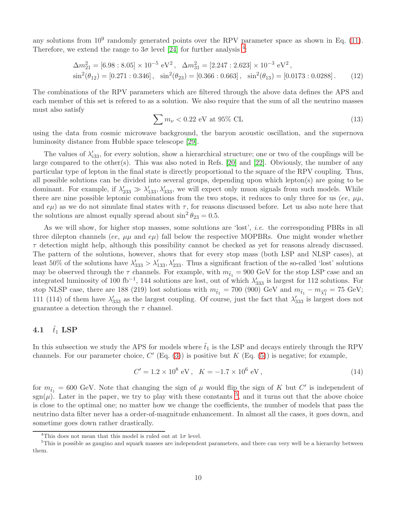any solutions from  $10^9$  randomly generated points over the RPV parameter space as shown in Eq. [\(11\)](#page-8-1). Therefore, we extend the range to  $3\sigma$  level [\[24\]](#page-16-12) for further analysis <sup>[4](#page-9-0)</sup>:

$$
\Delta m_{21}^2 = [6.98 : 8.05] \times 10^{-5} \text{ eV}^2, \quad \Delta m_{31}^2 = [2.247 : 2.623] \times 10^{-3} \text{ eV}^2, \sin^2(\theta_{12}) = [0.271 : 0.346], \quad \sin^2(\theta_{23}) = [0.366 : 0.663], \quad \sin^2(\theta_{13}) = [0.0173 : 0.0288].
$$
\n(12)

The combinations of the RPV parameters which are filtered through the above data defines the APS and each member of this set is refered to as a solution. We also require that the sum of all the neutrino masses must also satisfy

$$
\sum m_{\nu} < 0.22 \text{ eV at } 95\% \text{ CL} \tag{13}
$$

using the data from cosmic microwave background, the baryon acoustic oscillation, and the supernova luminosity distance from Hubble space telescope [\[29\]](#page-17-1).

The values of  $\lambda'_{33}$ , for every solution, show a hierarchical structure; one or two of the couplings will be large compared to the other(s). This was also noted in Refs. [\[20\]](#page-16-8) and [\[22\]](#page-16-10). Obviously, the number of any particular type of lepton in the final state is directly proportional to the square of the RPV coupling. Thus, all possible solutions can be divided into several groups, depending upon which lepton(s) are going to be dominant. For example, if  $\lambda'_{233} \gg \lambda'_{133}, \lambda'_{333}$ , we will expect only muon signals from such models. While there are nine possible leptonic combinations from the two stops, it reduces to only three for us (ee,  $\mu\mu$ , and  $e\mu$ ) as we do not simulate final states with  $\tau$ , for reasons discussed before. Let us also note here that the solutions are almost equally spread about  $\sin^2 \theta_{23} = 0.5$ .

As we will show, for higher stop masses, some solutions are 'lost', *i.e.* the corresponding PBRs in all three dilepton channels (ee,  $\mu\mu$  and  $e\mu$ ) fall below the respective MOPBRs. One might wonder whether  $\tau$  detection might help, although this possibility cannot be checked as yet for reasons already discussed. The pattern of the solutions, however, shows that for every stop mass (both LSP and NLSP cases), at least 50% of the solutions have  $\lambda'_{333} > \lambda'_{133}$ ,  $\lambda'_{233}$ . Thus a significant fraction of the so-called 'lost' solutions may be observed through the  $\tau$  channels. For example, with  $m_{\tilde{t}_1} = 900$  GeV for the stop LSP case and an integrated luminosity of 100 fb<sup>-1</sup>, 144 solutions are lost, out of which  $\lambda'_{333}$  is largest for 112 solutions. For stop NLSP case, there are 188 (219) lost solutions with  $m_{\tilde{t}_1} = 700$  (900) GeV and  $m_{\tilde{t}_1} - m_{\tilde{\chi}_1^0} = 75$  GeV; 111 (114) of them have  $\lambda'_{333}$  as the largest coupling. Of course, just the fact that  $\lambda'_{333}$  is largest does not guarantee a detection through the  $\tau$  channel.

### 4.1  $\tilde{t}_1$  LSP

In this subsection we study the APS for models where  $\tilde{t}_1$  is the LSP and decays entirely through the RPV channels. For our parameter choice,  $C'$  (Eq. [\(3\)](#page-4-0)) is positive but  $K$  (Eq. [\(5\)](#page-4-3)) is negative; for example,

$$
C' = 1.2 \times 10^8 \text{ eV}, \quad K = -1.7 \times 10^6 \text{ eV}, \tag{14}
$$

for  $m_{\tilde{t}_1} = 600$  GeV. Note that changing the sign of  $\mu$  would flip the sign of K but C' is independent of sgn( $\mu$ ). Later in the paper, we try to play with these constants <sup>[5](#page-9-1)</sup>, and it turns out that the above choice is close to the optimal one; no matter how we change the coefficients, the number of models that pass the neutrino data filter never has a order-of-magnitude enhancement. In almost all the cases, it goes down, and sometime goes down rather drastically.

<span id="page-9-0"></span><sup>&</sup>lt;sup>4</sup>This does not mean that this model is ruled out at  $1\sigma$  level.

<span id="page-9-1"></span> $5$ This is possible as gaugino and squark masses are independent parameters, and there can very well be a hierarchy between them.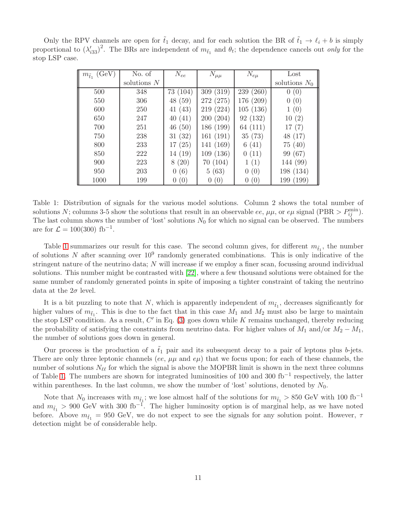|                                                                                                                                             | Only the RPV channels are open for $\tilde{t}_1$ decay, and for each solution the BR of $\tilde{t}_1 \rightarrow \ell_i + b$ is simply |  |  |  |
|---------------------------------------------------------------------------------------------------------------------------------------------|----------------------------------------------------------------------------------------------------------------------------------------|--|--|--|
| proportional to $(\lambda'_{33})^2$ . The BRs are independent of $m_{\tilde{t}_1}$ and $\theta_t$ ; the dependence cancels out only for the |                                                                                                                                        |  |  |  |
| stop LSP case.                                                                                                                              |                                                                                                                                        |  |  |  |

| $m_{\tilde{t}_1}$ (GeV) | No. of        | $N_{ee}$  | $N_{\mu\mu}$     | $N_{e\mu}$      | Lost            |
|-------------------------|---------------|-----------|------------------|-----------------|-----------------|
|                         | solutions $N$ |           |                  |                 | solutions $N_0$ |
| 500                     | 348           | 73 (104)  | (319)<br>309     | 239 (260)       | 0(0)            |
| 550                     | 306           | 48 (59)   | 272 (275)        | 176 (209)       | 0(0)            |
| 600                     | 250           | 41(43)    | 219 (224)        | 105(136)        | (0)             |
| 650                     | 247           | 40(41)    | 200(204)         | 92 (132)        | 10(2)           |
| 700                     | 251           | 46(50)    | 186 (199)        | 64 (111)        | 17(7)           |
| 750                     | 238           | 31(32)    | 161(191)         | 35(73)          | 48 (17)         |
| 800                     | 233           | 17(25)    | 141 (169)        | 6(41)           | 75(40)          |
| 850                     | 222           | 14 (19)   | 109(136)         | 0(11)           | 99 (67)         |
| 900                     | 223           | (20)<br>8 | 70(104)          | 1(1)            | 144 (99)        |
| 950                     | 203           | 0(6)      | 5(63)            | 0(0)            | 198 (134)       |
| 1000                    | 199           | (0)       | $\left(0\right)$ | (0)<br>$\theta$ | 199 (199)       |

<span id="page-10-0"></span>Table 1: Distribution of signals for the various model solutions. Column 2 shows the total number of solutions N; columns 3-5 show the solutions that result in an observable ee,  $\mu\mu$ , or  $e\mu$  signal (PBR >  $P_{ij}^{\min}$ ). The last column shows the number of 'lost' solutions  $N_0$  for which no signal can be observed. The numbers are for  $\mathcal{L} = 100(300) \text{ fb}^{-1}$ .

Table [1](#page-10-0) summarizes our result for this case. The second column gives, for different  $m_{\tilde{t}_1}$ , the number of solutions N after scanning over  $10^9$  randomly generated combinations. This is only indicative of the stringent nature of the neutrino data; N will increase if we employ a finer scan, focussing around individual solutions. This number might be contrasted with [\[22\]](#page-16-10), where a few thousand solutions were obtained for the same number of randomly generated points in spite of imposing a tighter constraint of taking the neutrino data at the  $2\sigma$  level.

It is a bit puzzling to note that N, which is apparently independent of  $m_{\tilde{t}_1}$ , decreases significantly for higher values of  $m_{\tilde{t}_1}$ . This is due to the fact that in this case  $M_1$  and  $M_2$  must also be large to maintain the stop LSP condition. As a result,  $C'$  in Eq. [\(3\)](#page-4-0) goes down while K remains unchanged, thereby reducing the probability of satisfying the constraints from neutrino data. For higher values of  $M_1$  and/or  $M_2 - M_1$ , the number of solutions goes down in general.

Our process is the production of a  $\tilde{t}_1$  pair and its subsequent decay to a pair of leptons plus b-jets. There are only three leptonic channels (ee,  $\mu\mu$  and  $e\mu$ ) that we focus upon; for each of these channels, the number of solutions  $N_{\ell\ell}$  for which the signal is above the MOPBR limit is shown in the next three columns of Table [1.](#page-10-0) The numbers are shown for integrated luminosities of 100 and 300 fb−<sup>1</sup> respectively, the latter within parentheses. In the last column, we show the number of 'lost' solutions, denoted by  $N_0$ .

Note that  $N_0$  increases with  $m_{\tilde{t}_1}$ ; we lose almost half of the solutions for  $m_{\tilde{t}_1} > 850$  GeV with 100 fb<sup>-1</sup> and  $m_{\tilde{t}_1} > 900 \text{ GeV}$  with 300 fb<sup>-1</sup>. The higher luminosity option is of marginal help, as we have noted before. Above  $m_{\tilde{t}_1} = 950 \text{ GeV}$ , we do not expect to see the signals for any solution point. However,  $\tau$ detection might be of considerable help.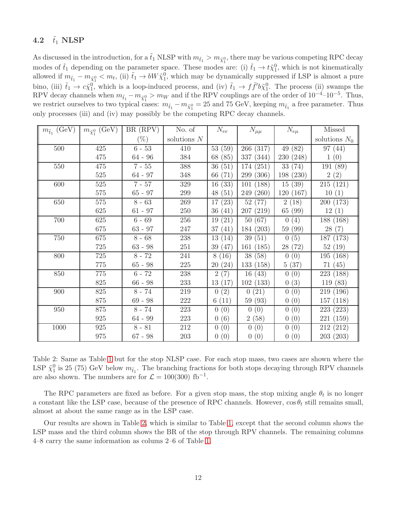### 4.2  $\tilde{t}_1$  NLSP

As discussed in the introduction, for a  $\tilde{t}_1$  NLSP with  $m_{\tilde{t}_1} > m_{\tilde{\chi}_1^0}$ , there may be various competing RPC decay modes of  $\tilde{t}_1$  depending on the parameter space. These modes are: (i)  $\tilde{t}_1 \to t \tilde{\chi}_1^0$ , which is not kinematically allowed if  $m_{\tilde{t}_1} - m_{\tilde{\chi}_1^0} < m_t$ , (ii)  $\tilde{t}_1 \to bW \tilde{\chi}_1^0$ , which may be dynamically suppressed if LSP is almost a pure bino, (iii)  $\tilde{t}_1 \to c\tilde{\chi}_1^0$ , which is a loop-induced process, and (iv)  $\tilde{t}_1 \to f\bar{f}$   $b\tilde{\chi}_1^0$ . The process (ii) swamps the RPV decay channels when  $m_{\tilde{t}_1} - m_{\tilde{\chi}_1^0} > m_W$  and if the RPV couplings are of the order of  $10^{-4}$ – $10^{-5}$ . Thus, we restrict ourselves to two typical cases:  $m_{\tilde{t}_1} - m_{\tilde{\chi}_1^0} = 25$  and 75 GeV, keeping  $m_{\tilde{t}_1}$  a free parameter. Thus only processes (iii) and (iv) may possibly be the competing RPC decay channels.

| $m_{\tilde{t}_1}$ (GeV) | $m_{\tilde{\chi}_{1}^{0}}$ (GeV) | BR (RPV)  | No. of        | $N_{ee}$              | $\bar{N}_{\mu\mu}$     | $N_{e\mu}$ | Missed          |
|-------------------------|----------------------------------|-----------|---------------|-----------------------|------------------------|------------|-----------------|
|                         |                                  | $(\%)$    | solutions $N$ |                       |                        |            | solutions $N_0$ |
| 500                     | 425                              | $6 - 53$  | 410           | 53(59)                | 266 (317)              | 49 (82)    | 97(44)          |
|                         | 475                              | $64 - 96$ | 384           | 68 (85)               | (344)<br>337           | 230 (248)  | 1(0)            |
| 550                     | 475                              | $7 - 55$  | 388           | 36<br>(51)            | (251)<br>174           | 33(74)     | 191 (89)        |
|                         | 525                              | $64 - 97$ | 348           | (71)<br>66            | (306)<br>299           | 198 (230)  | 2(2)            |
| 600                     | 525                              | $7 - 57$  | 329           | (33)<br>16            | 101<br>(188)           | 15(39)     | 215(121)        |
|                         | 575                              | $65 - 97$ | 299           | 48<br>(51)            | (260)<br>249           | 120(167)   | 10(1)           |
| 650                     | 575                              | $8 - 63$  | 269           | 17<br>$^{(23)}$       | $52\,$<br>(77)         | 2(18)      | 200 (173)       |
|                         | 625                              | $61 - 97$ | 250           | 36<br>(41)            | 207<br>(219)           | 65 (99)    | 12(1)           |
| 700                     | 625                              | $6 - 69$  | 256           | 19<br>(21)            | 50(67)                 | 0(4)       | 188 (168)       |
|                         | 675                              | $63 - 97$ | 247           | 37<br>(41)            | 184 (203)              | 59 (99)    | 28(7)           |
| 750                     | 675                              | $8 - 68$  | 238           | 13(14)                | 39<br>(51)             | 0(5)       | 187 (173)       |
|                         | 725                              | $63 - 98$ | 251           | 39<br>(47)            | (185)<br>161           | 28(72)     | 52(19)          |
| 800                     | 725                              | $8 - 72$  | 241           | 8<br>(16)             | (58)<br>38             | 0(0)       | 195 (168)       |
|                         | 775                              | $65 - 98$ | 225           | (24)<br>20            | 133<br>(158)           | 5(37)      | 71(45)          |
| 850                     | 775                              | $6 - 72$  | 238           | $\overline{2}$<br>(7) | (43)<br>16             | 0(0)       | 223 (188)       |
|                         | 825                              | $66 - 98$ | 233           | 13<br>(17)            | 102<br>(133)           | 0(3)       | 119(83)         |
| 900                     | 825                              | $8 - 74$  | 219           | (2)<br>$\Omega$       | (21)<br>$\overline{0}$ | 0(0)       | 219 (196)       |
|                         | 875                              | $69 - 98$ | 222           | 6<br>(11)             | (93)<br>59             | 0(0)       | 157(118)        |
| 950                     | 875                              | $8 - 74$  | 223           | (0)<br>0              | $\overline{0}$<br>(0)  | 0(0)       | 223 (223)       |
|                         | 925                              | $64 - 99$ | 223           | (6)<br>$\overline{0}$ | (58)<br>$\overline{2}$ | 0(0)       | (159)<br>221    |
| $1000\,$                | 925                              | $8 - 81$  | 212           | (0)<br>0              | (0)<br>$\overline{0}$  | 0(0)       | 212 (212)       |
|                         | $975\,$                          | $67 - 98$ | 203           | (0)<br>$\overline{0}$ | 0(0)                   | 0(0)       | 203(203)        |

<span id="page-11-0"></span>Table 2: Same as Table [1](#page-10-0) but for the stop NLSP case. For each stop mass, two cases are shown where the LSP  $\tilde{\chi}_1^0$  is 25 (75) GeV below  $m_{\tilde{t}_1}$ . The branching fractions for both stops decaying through RPV channels are also shown. The numbers are for  $\mathcal{L} = 100(300) \text{ fb}^{-1}$ .

The RPC parameters are fixed as before. For a given stop mass, the stop mixing angle  $\theta_t$  is no longer a constant like the LSP case, because of the presence of RPC channels. However,  $\cos \theta_t$  still remains small, almost at about the same range as in the LSP case.

Our results are shown in Table [2,](#page-11-0) which is similar to Table [1,](#page-10-0) except that the second column shows the LSP mass and the third column shows the BR of the stop through RPV channels. The remaining columns 4–8 carry the same information as colums 2–6 of Table [1.](#page-10-0)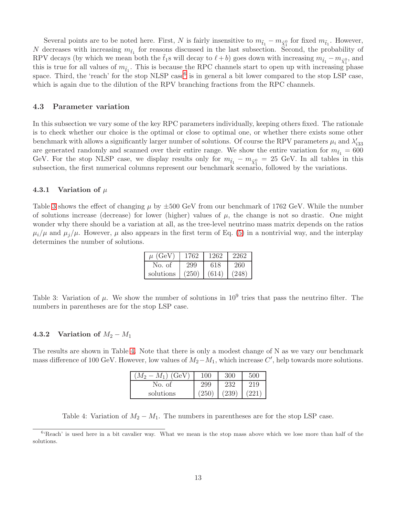Several points are to be noted here. First, N is fairly insensitive to  $m_{\tilde{t}_1} - m_{\tilde{\chi}_1^0}$  for fixed  $m_{\tilde{t}_1}$ . However, N decreases with increasing  $m_{\tilde{t}_1}$  for reasons discussed in the last subsection. Second, the probability of RPV decays (by which we mean both the  $\tilde{t}_1$ s will decay to  $\ell + b$ ) goes down with increasing  $m_{\tilde{t}_1} - m_{\tilde{\chi}_1^0}$ , and this is true for all values of  $m_{\tilde{t}_1}$ . This is because the RPC channels start to open up with increasing phase space. Third, the 'reach' for the stop NLSP case<sup>[6](#page-12-0)</sup> is in general a bit lower compared to the stop LSP case, which is again due to the dilution of the RPV branching fractions from the RPC channels.

### 4.3 Parameter variation

In this subsection we vary some of the key RPC parameters individually, keeping others fixed. The rationale is to check whether our choice is the optimal or close to optimal one, or whether there exists some other benchmark with allows a significantly larger number of solutions. Of course the RPV parameters  $\mu_i$  and  $\lambda'_{333}$ are generated randomly and scanned over their entire range. We show the entire variation for  $m_{\tilde{t}_1} = 600$ GeV. For the stop NLSP case, we display results only for  $m_{\tilde{t}_1} - m_{\tilde{\chi}_1^0} = 25$  GeV. In all tables in this subsection, the first numerical columns represent our benchmark scenario, followed by the variations.

### 4.3.1 Variation of  $\mu$

Table [3](#page-12-1) shows the effect of changing  $\mu$  by  $\pm 500$  GeV from our benchmark of 1762 GeV. While the number of solutions increase (decrease) for lower (higher) values of  $\mu$ , the change is not so drastic. One might wonder why there should be a variation at all, as the tree-level neutrino mass matrix depends on the ratios  $\mu_i/\mu$  and  $\mu_j/\mu$ . However,  $\mu$  also appears in the first term of Eq. [\(5\)](#page-4-3) in a nontrivial way, and the interplay determines the number of solutions.

| $\mu$ (GeV) | 1762  | 1262  | 2262  |
|-------------|-------|-------|-------|
| No. of      | 299   | 618   | 260   |
| solutions   | (250) | (614) | (248) |

<span id="page-12-1"></span>Table 3: Variation of  $\mu$ . We show the number of solutions in  $10^9$  tries that pass the neutrino filter. The numbers in parentheses are for the stop LSP case.

#### 4.3.2 Variation of  $M_2 - M_1$

The results are shown in Table [4.](#page-12-2) Note that there is only a modest change of N as we vary our benchmark mass difference of 100 GeV. However, low values of  $M_2-M_1$ , which increase  $C'$ , help towards more solutions.

| (GeV)<br>$M_1$ ) | 100   |     |     |
|------------------|-------|-----|-----|
| No. of           | 299   | 232 | 219 |
| solutions        | (250) | 239 |     |

<span id="page-12-2"></span>Table 4: Variation of  $M_2 - M_1$ . The numbers in parentheses are for the stop LSP case.

<span id="page-12-0"></span><sup>&</sup>lt;sup>6</sup>'Reach' is used here in a bit cavalier way. What we mean is the stop mass above which we lose more than half of the solutions.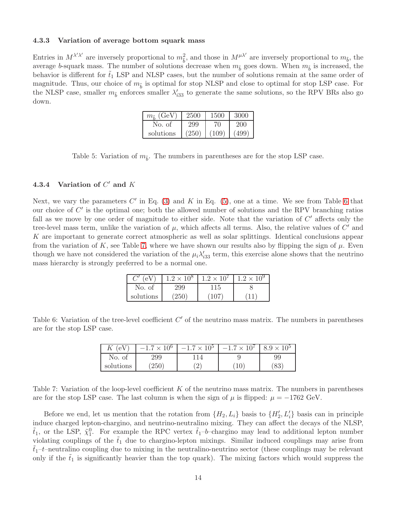#### 4.3.3 Variation of average bottom squark mass

Entries in  $M^{\lambda'\lambda'}$  are inversely proportional to  $m_{\tilde{b}}^2$ , and those in  $M^{\mu\lambda'}$  are inversely proportional to  $m_{\tilde{b}}$ , the average b-squark mass. The number of solutions decrease when  $m_{\tilde{b}}$  goes down. When  $m_{\tilde{b}}$  is increased, the behavior is different for  $\tilde{t}_1$  LSP and NLSP cases, but the number of solutions remain at the same order of magnitude. Thus, our choice of  $m_{\tilde{b}}$  is optimal for stop NLSP and close to optimal for stop LSP case. For the NLSP case, smaller  $m_{\tilde{b}}$  enforces smaller  $\lambda'_{i33}$  to generate the same solutions, so the RPV BRs also go down.

| $m_{\tilde{i}}$ (GeV) | 2500  | 1500  | 3000    |
|-----------------------|-------|-------|---------|
| No. of                | 299   | 70    | $200^-$ |
| solutions             | (250) | (109) | (499)   |

Table 5: Variation of  $m_{\tilde{b}}$ . The numbers in parentheses are for the stop LSP case.

### 4.3.4 Variation of  $C'$  and  $K$

Next, we vary the parameters  $C'$  in Eq. [\(3\)](#page-4-0) and  $K$  in Eq. [\(5\)](#page-4-3), one at a time. We see from Table [6](#page-13-0) that our choice of C' is the optimal one; both the allowed number of solutions and the RPV branching ratios fall as we move by one order of magnitude to either side. Note that the variation of  $C'$  affects only the tree-level mass term, unlike the variation of  $\mu$ , which affects all terms. Also, the relative values of  $C'$  and K are important to generate correct atmospheric as well as solar splittings. Identical conclusions appear from the variation of K, see Table [7,](#page-13-1) where we have shown our results also by flipping the sign of  $\mu$ . Even though we have not considered the variation of the  $\mu_i \lambda'_{i33}$  term, this exercise alone shows that the neutrino mass hierarchy is strongly preferred to be a normal one.

| (eV       | $1.2 \times 10^8$ | $1.2 \times 10^{7}$ | $1.2 \times 10^9$ |
|-----------|-------------------|---------------------|-------------------|
| No. of    | 299               |                     |                   |
| solutions | $^{\prime}250$    | 107                 |                   |

<span id="page-13-0"></span>Table 6: Variation of the tree-level coefficient  $C'$  of the neutrino mass matrix. The numbers in parentheses are for the stop LSP case.

| $\Lambda$ | $-1.7 \times 10^{6}$ | $-1.7 \times 10^{5}$     | $-1.7 \times 10^{7}$ | 8.9     |
|-----------|----------------------|--------------------------|----------------------|---------|
| No. of    | 299                  | $\overline{\mathcal{L}}$ |                      | 99      |
| solutions | 250                  | ↩                        | 10                   | റ<br>ΟJ |

<span id="page-13-1"></span>Table 7: Variation of the loop-level coefficient  $K$  of the neutrino mass matrix. The numbers in parentheses are for the stop LSP case. The last column is when the sign of  $\mu$  is flipped:  $\mu = -1762$  GeV.

Before we end, let us mention that the rotation from  $\{H_2, L_i\}$  basis to  $\{H'_2, L'_i\}$  basis can in principle induce charged lepton-chargino, and neutrino-neutralino mixing. They can affect the decays of the NLSP,  $\tilde{t}_1$ , or the LSP,  $\tilde{\chi}_1^0$ . For example the RPC vertex  $\tilde{t}_1$ -b-chargino may lead to additional lepton number violating couplings of the  $\tilde{t}_1$  due to chargino-lepton mixings. Similar induced couplings may arise from  $t_1-t$ –neutralino coupling due to mixing in the neutralino-neutrino sector (these couplings may be relevant only if the  $\tilde{t}_1$  is significantly heavier than the top quark). The mixing factors which would suppress the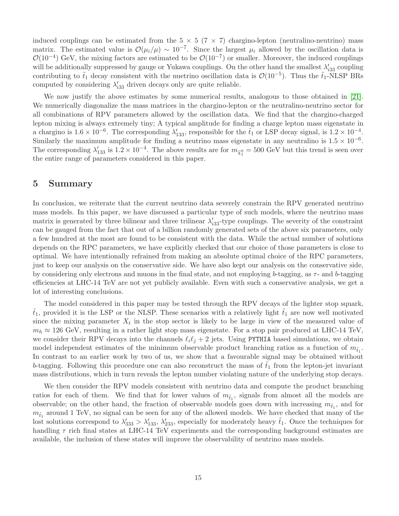induced couplings can be estimated from the  $5 \times 5$  (7  $\times$  7) chargino-lepton (neutralino-neutrino) mass matrix. The estimated value is  $\mathcal{O}(\mu_i/\mu) \sim 10^{-7}$ . Since the largest  $\mu_i$  allowed by the oscillation data is  $\mathcal{O}(10^{-4})$  GeV, the mixing factors are estimated to be  $\mathcal{O}(10^{-7})$  or smaller. Moreover, the induced couplings will be additionally suppressed by gauge or Yukawa couplings. On the other hand the smallest  $\lambda'_{i33}$  coupling contributing to  $\tilde{t}_1$  decay consistent with the nuetrino oscillation data is  $\mathcal{O}(10^{-5})$ . Thus the  $\tilde{t}_1$ -NLSP BRs computed by considering  $\lambda'_{33}$  driven decays only are quite reliable.

We now justify the above estimates by some numerical results, analogous to those obtained in [\[21\]](#page-16-9). We numerically diagonalize the mass matrices in the chargino-lepton or the neutralino-neutrino sector for all combinations of RPV parameters allowed by the oscillation data. We find that the chargino-charged lepton mixing is always extremely tiny; A typical amplitude for finding a charge lepton mass eigenstate in a chargino is  $1.6 \times 10^{-6}$ . The corresponding  $\lambda'_{133}$ , responsible for the  $\tilde{t}_1$  or LSP decay signal, is  $1.2 \times 10^{-4}$ . Similarly the maximum amplitude for finding a neutrino mass eigenstate in any neutralino is  $1.5 \times 10^{-6}$ . The corresponding  $\lambda'_{133}$  is  $1.2 \times 10^{-4}$ . The above results are for  $m_{\tilde{\chi}^0_1} = 500$  GeV but this trend is seen over the entire range of parameters considered in this paper.

# 5 Summary

In conclusion, we reiterate that the current neutrino data severely constrain the RPV generated neutrino mass models. In this paper, we have discussed a particular type of such models, where the neutrino mass matrix is generated by three bilinear and three trilinear  $\lambda'_{333}$ -type couplings. The severity of the constraint can be gauged from the fact that out of a billion randomly generated sets of the above six parameters, only a few hundred at the most are found to be consistent with the data. While the actual number of solutions depends on the RPC parameters, we have explicitly checked that our choice of those parameters is close to optimal. We have intentionally refrained from making an absolute optimal choice of the RPC parameters, just to keep our analysis on the conservative side. We have also kept our analysis on the conservative side, by considering only electrons and muons in the final state, and not employing b-tagging, as  $\tau$ - and b-tagging efficiencies at LHC-14 TeV are not yet publicly available. Even with such a conservative analysis, we get a lot of interesting conclusions.

The model considered in this paper may be tested through the RPV decays of the lighter stop squark,  $\tilde{t}_1$ , provided it is the LSP or the NLSP. These scenarios with a relatively light  $\tilde{t}_1$  are now well motivated since the mixing parameter  $X_t$  in the stop sector is likely to be large in view of the measured value of  $m_h \approx 126$  GeV, resulting in a rather light stop mass eigenstate. For a stop pair produced at LHC-14 TeV, we consider their RPV decays into the channels  $\ell_i \ell_j + 2$  jets. Using PYTHIA based simulations, we obtain model independent estimates of the minimum observable product branching ratios as a function of  $m_{\tilde{t}_1}$ . In contrast to an earlier work by two of us, we show that a favourable signal may be obtained without b-tagging. Following this procedure one can also reconstruct the mass of  $t_1$  from the lepton-jet invariant mass distributions, which in turn reveals the lepton number violating nature of the underlying stop decays.

We then consider the RPV models consistent with neutrino data and compute the product branching ratios for each of them. We find that for lower values of  $m_{\tilde{t}_1}$ , signals from almost all the models are observable; on the other hand, the fraction of observable models goes down with increasing  $m_{\tilde{t}_1}$ , and for  $m_{\tilde{t}_1}$  around 1 TeV, no signal can be seen for any of the allowed models. We have checked that many of the lost solutions correspond to  $\lambda'_{333} > \lambda'_{133}$ ,  $\lambda'_{233}$ , especially for moderately heavy  $\tilde{t}_1$ . Once the techniques for handling  $\tau$  rich final states at LHC-14 TeV experiments and the corresponding background estimates are available, the inclusion of these states will improve the observability of neutrino mass models.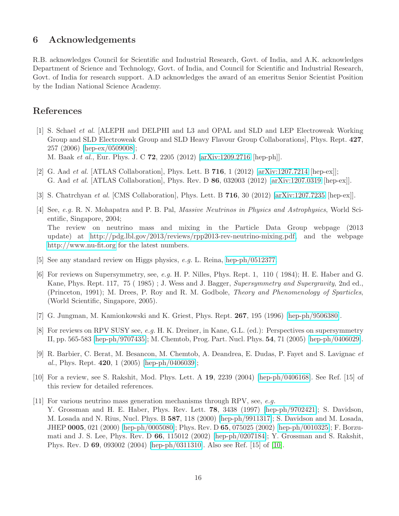# 6 Acknowledgements

R.B. acknowledges Council for Scientific and Industrial Research, Govt. of India, and A.K. acknowledges Department of Science and Technology, Govt. of India, and Council for Scientific and Industrial Research, Govt. of India for research support. A.D acknowledges the award of an emeritus Senior Scientist Position by the Indian National Science Academy.

# <span id="page-15-0"></span>References

- [1] S. Schael et al. [ALEPH and DELPHI and L3 and OPAL and SLD and LEP Electroweak Working Group and SLD Electroweak Group and SLD Heavy Flavour Group Collaborations], Phys. Rept. 427, 257 (2006) [\[hep-ex/0509008\]](http://arxiv.org/abs/hep-ex/0509008); M. Baak et al., Eur. Phys. J. C 72, 2205 (2012) [\[arXiv:1209.2716](http://arxiv.org/abs/1209.2716) [hep-ph]].
- <span id="page-15-1"></span>[2] G. Aad et al. [ATLAS Collaboration], Phys. Lett. B 716, 1 (2012) [\[arXiv:1207.7214](http://arxiv.org/abs/1207.7214) [hep-ex]];
- <span id="page-15-2"></span>G. Aad et al. [ATLAS Collaboration], Phys. Rev. D 86, 032003 (2012) [\[arXiv:1207.0319](http://arxiv.org/abs/1207.0319) [hep-ex]].
- <span id="page-15-3"></span>[3] S. Chatrchyan et al. [CMS Collaboration], Phys. Lett. B 716, 30 (2012) [\[arXiv:1207.7235](http://arxiv.org/abs/1207.7235) [hep-ex]].
- [4] See, e.g. R. N. Mohapatra and P. B. Pal, Massive Neutrinos in Physics and Astrophysics, World Scientific, Singapore, 2004; The review on neutrino mass and mixing in the Particle Data Group webpage (2013 update) at [http://pdg.lbl.gov/2013/reviews/rpp2013-rev-neutrino-mixing.pdf,](http://pdg.lbl.gov/2013/reviews/rpp2013-rev-neutrino-mixing.pdf) and the webpage <http://www.nu-fit.org> for the latest numbers.
- <span id="page-15-5"></span><span id="page-15-4"></span>[5] See any standard review on Higgs physics, e.g. L. Reina, [hep-ph/0512377.](http://arxiv.org/abs/hep-ph/0512377)
- [6] For reviews on Supersymmetry, see, e.g. H. P. Nilles, Phys. Rept. 1, 110 ( 1984); H. E. Haber and G. Kane, Phys. Rept. 117, 75 ( 1985) ; J. Wess and J. Bagger, Supersymmetry and Supergravity, 2nd ed., (Princeton, 1991); M. Drees, P. Roy and R. M. Godbole, Theory and Phenomenology of Sparticles, (World Scientific, Singapore, 2005).
- <span id="page-15-7"></span><span id="page-15-6"></span>[7] G. Jungman, M. Kamionkowski and K. Griest, Phys. Rept. 267, 195 (1996) [\[hep-ph/9506380\]](http://arxiv.org/abs/hep-ph/9506380).
- [8] For reviews on RPV SUSY see, e.g. H. K. Dreiner, in Kane, G.L. (ed.): Perspectives on supersymmetry II, pp. 565-583 [\[hep-ph/9707435\]](http://arxiv.org/abs/hep-ph/9707435); M. Chemtob, Prog. Part. Nucl. Phys. 54, 71 (2005) [\[hep-ph/0406029\]](http://arxiv.org/abs/hep-ph/0406029).
- <span id="page-15-8"></span>[9] R. Barbier, C. Berat, M. Besancon, M. Chemtob, A. Deandrea, E. Dudas, P. Fayet and S. Lavignac et al., Phys. Rept. 420, 1  $(2005)$  [\[hep-ph/0406039\]](http://arxiv.org/abs/hep-ph/0406039);
- <span id="page-15-10"></span><span id="page-15-9"></span>[10] For a review, see S. Rakshit, Mod. Phys. Lett. A 19, 2239 (2004) [\[hep-ph/0406168\]](http://arxiv.org/abs/hep-ph/0406168). See Ref. [15] of this review for detailed references.
- [11] For various neutrino mass generation mechanisms through RPV, see, e.g. Y. Grossman and H. E. Haber, Phys. Rev. Lett. 78, 3438 (1997) [\[hep-ph/9702421\]](http://arxiv.org/abs/hep-ph/9702421); S. Davidson, M. Losada and N. Rius, Nucl. Phys. B 587, 118 (2000) [\[hep-ph/9911317\]](http://arxiv.org/abs/hep-ph/9911317); S. Davidson and M. Losada, JHEP 0005, 021 (2000) [\[hep-ph/0005080\]](http://arxiv.org/abs/hep-ph/0005080); Phys. Rev. D 65, 075025 (2002) [\[hep-ph/0010325\]](http://arxiv.org/abs/hep-ph/0010325); F. Borzumati and J. S. Lee, Phys. Rev. D 66, 115012 (2002) [\[hep-ph/0207184\]](http://arxiv.org/abs/hep-ph/0207184); Y. Grossman and S. Rakshit, Phys. Rev. D 69, 093002 (2004) [\[hep-ph/0311310\]](http://arxiv.org/abs/hep-ph/0311310). Also see Ref. [15] of [\[10\]](#page-15-9).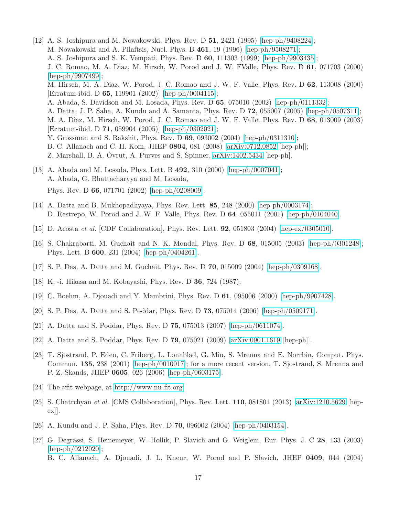<span id="page-16-0"></span>[12] A. S. Joshipura and M. Nowakowski, Phys. Rev. D 51, 2421 (1995) [\[hep-ph/9408224\]](http://arxiv.org/abs/hep-ph/9408224); M. Nowakowski and A. Pilaftsis, Nucl. Phys. B 461, 19 (1996) [\[hep-ph/9508271\]](http://arxiv.org/abs/hep-ph/9508271); A. S. Joshipura and S. K. Vempati, Phys. Rev. D 60, 111303 (1999) [\[hep-ph/9903435\]](http://arxiv.org/abs/hep-ph/9903435); J. C. Romao, M. A. Diaz, M. Hirsch, W. Porod and J. W. FValle, Phys. Rev. D 61, 071703 (2000) [\[hep-ph/9907499\]](http://arxiv.org/abs/hep-ph/9907499); M. Hirsch, M. A. Diaz, W. Porod, J. C. Romao and J. W. F. Valle, Phys. Rev. D 62, 113008 (2000) [Erratum-ibid. D 65, 119901 (2002)] [\[hep-ph/0004115\]](http://arxiv.org/abs/hep-ph/0004115); A. Abada, S. Davidson and M. Losada, Phys. Rev. D 65, 075010 (2002) [\[hep-ph/0111332\]](http://arxiv.org/abs/hep-ph/0111332); A. Datta, J. P. Saha, A. Kundu and A. Samanta, Phys. Rev. D 72, 055007 (2005) [\[hep-ph/0507311\]](http://arxiv.org/abs/hep-ph/0507311); M. A. Diaz, M. Hirsch, W. Porod, J. C. Romao and J. W. F. Valle, Phys. Rev. D 68, 013009 (2003) [Erratum-ibid. D 71, 059904 (2005)] [\[hep-ph/0302021\]](http://arxiv.org/abs/hep-ph/0302021); Y. Grossman and S. Rakshit, Phys. Rev. D 69, 093002 (2004) [\[hep-ph/0311310\]](http://arxiv.org/abs/hep-ph/0311310); B. C. Allanach and C. H. Kom, JHEP 0804, 081 (2008) [\[arXiv:0712.0852](http://arxiv.org/abs/0712.0852) [hep-ph]]; Z. Marshall, B. A. Ovrut, A. Purves and S. Spinner, [arXiv:1402.5434](http://arxiv.org/abs/1402.5434) [hep-ph].

# <span id="page-16-1"></span>[13] A. Abada and M. Losada, Phys. Lett. B 492, 310 (2000) [\[hep-ph/0007041\]](http://arxiv.org/abs/hep-ph/0007041); A. Abada, G. Bhattacharyya and M. Losada, Phys. Rev. D 66, 071701 (2002) [\[hep-ph/0208009\]](http://arxiv.org/abs/hep-ph/0208009).

- <span id="page-16-3"></span><span id="page-16-2"></span>[14] A. Datta and B. Mukhopadhyaya, Phys. Rev. Lett. 85, 248 (2000) [\[hep-ph/0003174\]](http://arxiv.org/abs/hep-ph/0003174); D. Restrepo, W. Porod and J. W. F. Valle, Phys. Rev. D 64, 055011 (2001) [\[hep-ph/0104040\]](http://arxiv.org/abs/hep-ph/0104040).
- <span id="page-16-4"></span>[15] D. Acosta et al. [CDF Collaboration], Phys. Rev. Lett. 92, 051803 (2004) [\[hep-ex/0305010\]](http://arxiv.org/abs/hep-ex/0305010).
- [16] S. Chakrabarti, M. Guchait and N. K. Mondal, Phys. Rev. D 68, 015005 (2003) [\[hep-ph/0301248\]](http://arxiv.org/abs/hep-ph/0301248); Phys. Lett. B 600, 231 (2004) [\[hep-ph/0404261\]](http://arxiv.org/abs/hep-ph/0404261).
- <span id="page-16-6"></span><span id="page-16-5"></span>[17] S. P. Das, A. Datta and M. Guchait, Phys. Rev. D 70, 015009 (2004) [\[hep-ph/0309168\]](http://arxiv.org/abs/hep-ph/0309168).
- <span id="page-16-7"></span>[18] K. -i. Hikasa and M. Kobayashi, Phys. Rev. D 36, 724 (1987).
- <span id="page-16-8"></span>[19] C. Boehm, A. Djouadi and Y. Mambrini, Phys. Rev. D 61, 095006 (2000) [\[hep-ph/9907428\]](http://arxiv.org/abs/hep-ph/9907428).
- <span id="page-16-9"></span>[20] S. P. Das, A. Datta and S. Poddar, Phys. Rev. D 73, 075014 (2006) [\[hep-ph/0509171\]](http://arxiv.org/abs/hep-ph/0509171).
- <span id="page-16-10"></span>[21] A. Datta and S. Poddar, Phys. Rev. D 75, 075013 (2007) [\[hep-ph/0611074\]](http://arxiv.org/abs/hep-ph/0611074).
- <span id="page-16-11"></span>[22] A. Datta and S. Poddar, Phys. Rev. D 79, 075021 (2009) [\[arXiv:0901.1619](http://arxiv.org/abs/0901.1619) [hep-ph]].
- [23] T. Sjostrand, P. Eden, C. Friberg, L. Lonnblad, G. Miu, S. Mrenna and E. Norrbin, Comput. Phys. Commun. 135, 238 (2001) [\[hep-ph/0010017\]](http://arxiv.org/abs/hep-ph/0010017); for a more recent version, T. Sjostrand, S. Mrenna and P. Z. Skands, JHEP 0605, 026 (2006) [\[hep-ph/0603175\]](http://arxiv.org/abs/hep-ph/0603175).
- <span id="page-16-13"></span><span id="page-16-12"></span>[24] The  $\nu$ fit webpage, at [http://www.nu-fit.org.](http://www.nu-fit.org)
- [25] S. Chatrchyan et al. [CMS Collaboration], Phys. Rev. Lett. 110, 081801 (2013) [\[arXiv:1210.5629](http://arxiv.org/abs/1210.5629) [hepex]].
- <span id="page-16-15"></span><span id="page-16-14"></span>[26] A. Kundu and J. P. Saha, Phys. Rev. D 70, 096002 (2004) [\[hep-ph/0403154\]](http://arxiv.org/abs/hep-ph/0403154).
- [27] G. Degrassi, S. Heinemeyer, W. Hollik, P. Slavich and G. Weiglein, Eur. Phys. J. C 28, 133 (2003) [\[hep-ph/0212020\]](http://arxiv.org/abs/hep-ph/0212020); B. C. Allanach, A. Djouadi, J. L. Kneur, W. Porod and P. Slavich, JHEP 0409, 044 (2004)